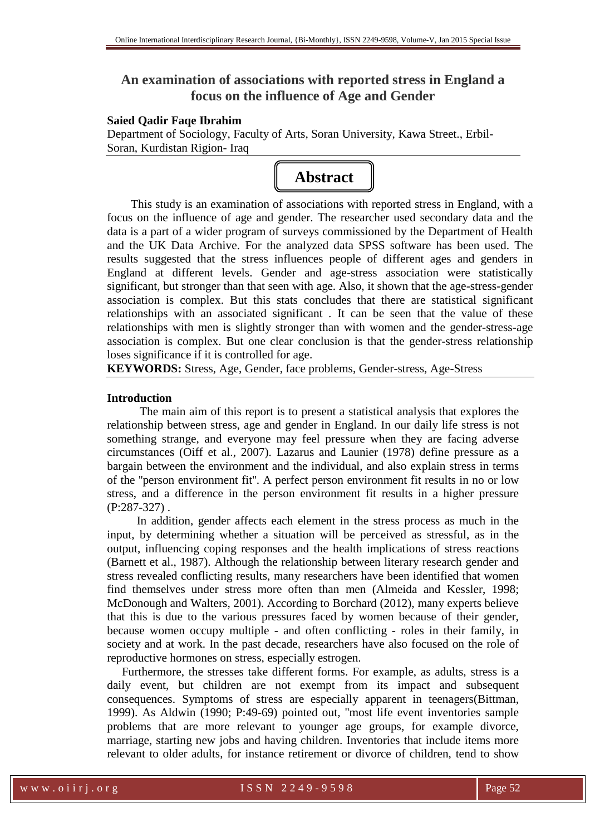# **An examination of associations with reported stress in England a focus on the influence of Age and Gender**

### **Saied Qadir Faqe Ibrahim**

Department of Sociology, Faculty of Arts, Soran University, Kawa Street., Erbil-Soran, Kurdistan Rigion- Iraq



 This study is an examination of associations with reported stress in England, with a focus on the influence of age and gender. The researcher used secondary data and the data is a part of a wider program of surveys commissioned by the Department of Health and the UK Data Archive. For the analyzed data SPSS software has been used. The results suggested that the stress influences people of different ages and genders in England at different levels. Gender and age-stress association were statistically significant, but stronger than that seen with age. Also, it shown that the age-stress-gender association is complex. But this stats concludes that there are statistical significant relationships with an associated significant . It can be seen that the value of these relationships with men is slightly stronger than with women and the gender-stress-age association is complex. But one clear conclusion is that the gender-stress relationship loses significance if it is controlled for age.

**KEYWORDS:** Stress, Age, Gender, face problems, Gender-stress, Age-Stress

# **Introduction**

 The main aim of this report is to present a statistical analysis that explores the relationship between stress, age and gender in England. In our daily life stress is not something strange, and everyone may feel pressure when they are facing adverse circumstances (Oiff et al., 2007). Lazarus and Launier (1978) define pressure as a bargain between the environment and the individual, and also explain stress in terms of the ''person environment fit''. A perfect person environment fit results in no or low stress, and a difference in the person environment fit results in a higher pressure (P:287-327) .

 In addition, gender affects each element in the stress process as much in the input, by determining whether a situation will be perceived as stressful, as in the output, influencing coping responses and the health implications of stress reactions (Barnett et al., 1987). Although the relationship between literary research gender and stress revealed conflicting results, many researchers have been identified that women find themselves under stress more often than men (Almeida and Kessler, 1998; McDonough and Walters, 2001). According to Borchard (2012), many experts believe that this is due to the various pressures faced by women because of their gender, because women occupy multiple - and often conflicting - roles in their family, in society and at work. In the past decade, researchers have also focused on the role of reproductive hormones on stress, especially estrogen.

 Furthermore, the stresses take different forms. For example, as adults, stress is a daily event, but children are not exempt from its impact and subsequent consequences. Symptoms of stress are especially apparent in teenagers(Bittman, 1999). As Aldwin (1990; P:49-69) pointed out, ''most life event inventories sample problems that are more relevant to younger age groups, for example divorce, marriage, starting new jobs and having children. Inventories that include items more relevant to older adults, for instance retirement or divorce of children, tend to show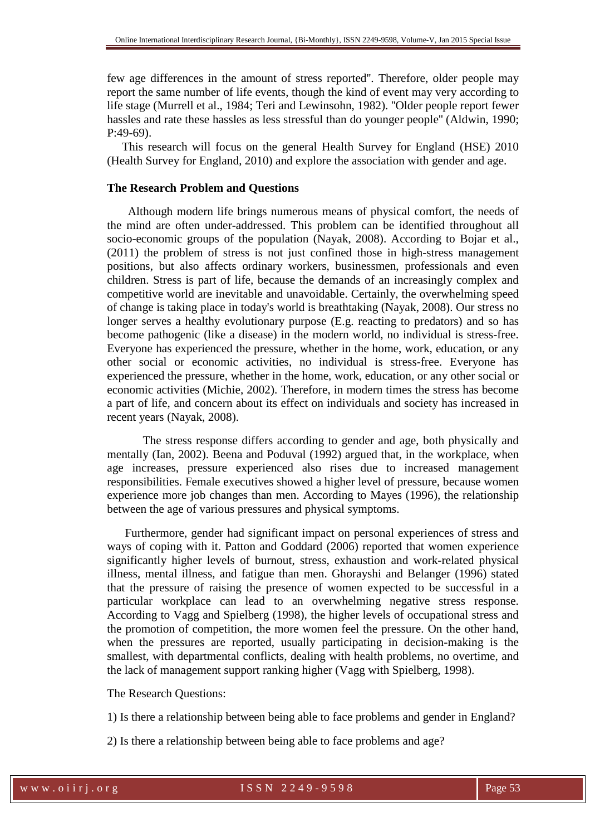few age differences in the amount of stress reported''. Therefore, older people may report the same number of life events, though the kind of event may very according to life stage (Murrell et al., 1984; Teri and Lewinsohn, 1982). ''Older people report fewer hassles and rate these hassles as less stressful than do younger people'' (Aldwin, 1990; P:49-69).

 This research will focus on the general Health Survey for England (HSE) 2010 (Health Survey for England, 2010) and explore the association with gender and age.

# **The Research Problem and Questions**

Although modern life brings numerous means of physical comfort, the needs of the mind are often under-addressed. This problem can be identified throughout all socio-economic groups of the population (Nayak, 2008). According to Bojar et al., (2011) the problem of stress is not just confined those in high-stress management positions, but also affects ordinary workers, businessmen, professionals and even children. Stress is part of life, because the demands of an increasingly complex and competitive world are inevitable and unavoidable. Certainly, the overwhelming speed of change is taking place in today's world is breathtaking (Nayak, 2008). Our stress no longer serves a healthy evolutionary purpose (E.g. reacting to predators) and so has become pathogenic (like a disease) in the modern world, no individual is stress-free. Everyone has experienced the pressure, whether in the home, work, education, or any other social or economic activities, no individual is stress-free. Everyone has experienced the pressure, whether in the home, work, education, or any other social or economic activities (Michie, 2002). Therefore, in modern times the stress has become a part of life, and concern about its effect on individuals and society has increased in recent years (Nayak, 2008).

 The stress response differs according to gender and age, both physically and mentally (Ian, 2002). Beena and Poduval (1992) argued that, in the workplace, when age increases, pressure experienced also rises due to increased management responsibilities. Female executives showed a higher level of pressure, because women experience more job changes than men. According to Mayes (1996), the relationship between the age of various pressures and physical symptoms.

 Furthermore, gender had significant impact on personal experiences of stress and ways of coping with it. Patton and Goddard (2006) reported that women experience significantly higher levels of burnout, stress, exhaustion and work-related physical illness, mental illness, and fatigue than men. Ghorayshi and Belanger (1996) stated that the pressure of raising the presence of women expected to be successful in a particular workplace can lead to an overwhelming negative stress response. According to Vagg and Spielberg (1998), the higher levels of occupational stress and the promotion of competition, the more women feel the pressure. On the other hand, when the pressures are reported, usually participating in decision-making is the smallest, with departmental conflicts, dealing with health problems, no overtime, and the lack of management support ranking higher (Vagg with Spielberg, 1998).

# The Research Questions:

1) Is there a relationship between being able to face problems and gender in England?

2) Is there a relationship between being able to face problems and age?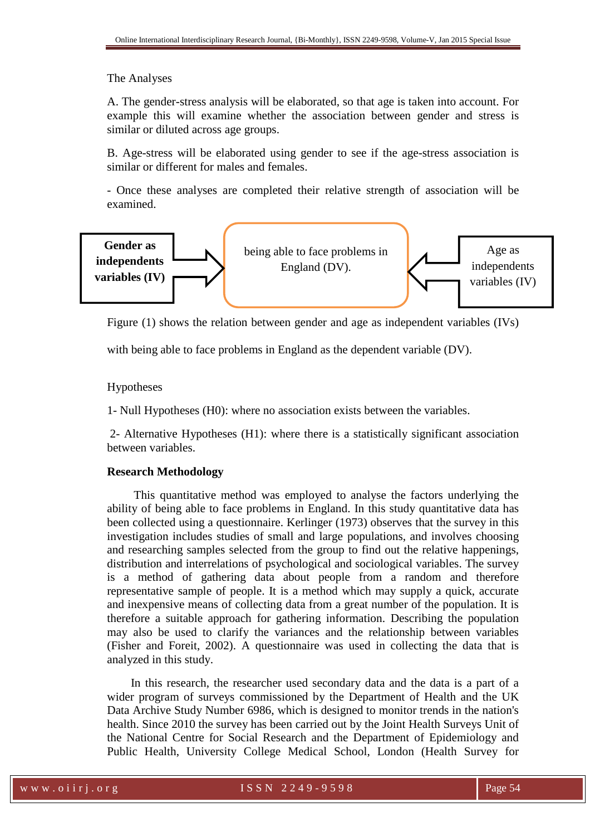# The Analyses

A. The gender-stress analysis will be elaborated, so that age is taken into account. For example this will examine whether the association between gender and stress is similar or diluted across age groups.

B. Age-stress will be elaborated using gender to see if the age-stress association is similar or different for males and females.

- Once these analyses are completed their relative strength of association will be examined.



Figure (1) shows the relation between gender and age as independent variables (IVs)

with being able to face problems in England as the dependent variable (DV).

# Hypotheses

1- Null Hypotheses (H0): where no association exists between the variables.

 2- Alternative Hypotheses (H1): where there is a statistically significant association between variables.

# **Research Methodology**

 This quantitative method was employed to analyse the factors underlying the ability of being able to face problems in England. In this study quantitative data has been collected using a questionnaire. Kerlinger (1973) observes that the survey in this investigation includes studies of small and large populations, and involves choosing and researching samples selected from the group to find out the relative happenings, distribution and interrelations of psychological and sociological variables. The survey is a method of gathering data about people from a random and therefore representative sample of people. It is a method which may supply a quick, accurate and inexpensive means of collecting data from a great number of the population. It is therefore a suitable approach for gathering information. Describing the population may also be used to clarify the variances and the relationship between variables (Fisher and Foreit, 2002). A questionnaire was used in collecting the data that is analyzed in this study.

 In this research, the researcher used secondary data and the data is a part of a wider program of surveys commissioned by the Department of Health and the UK Data Archive Study Number 6986, which is designed to monitor trends in the nation's health. Since 2010 the survey has been carried out by the Joint Health Surveys Unit of the National Centre for Social Research and the Department of Epidemiology and Public Health, University College Medical School, London (Health Survey for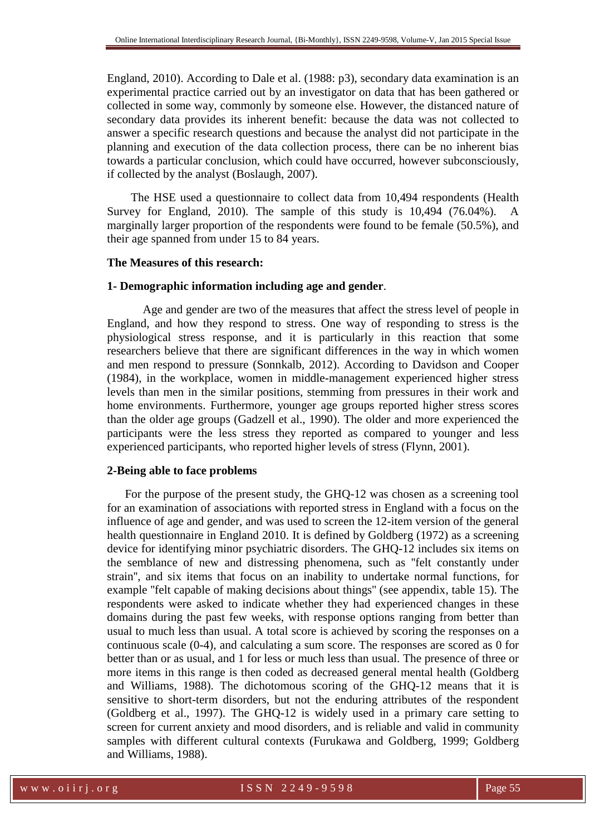England, 2010). According to Dale et al. (1988: p3), secondary data examination is an experimental practice carried out by an investigator on data that has been gathered or collected in some way, commonly by someone else. However, the distanced nature of secondary data provides its inherent benefit: because the data was not collected to answer a specific research questions and because the analyst did not participate in the planning and execution of the data collection process, there can be no inherent bias towards a particular conclusion, which could have occurred, however subconsciously, if collected by the analyst (Boslaugh, 2007).

 The HSE used a questionnaire to collect data from 10,494 respondents (Health Survey for England, 2010). The sample of this study is 10,494 (76.04%). A marginally larger proportion of the respondents were found to be female (50.5%), and their age spanned from under 15 to 84 years.

### **The Measures of this research:**

#### **1- Demographic information including age and gender**.

 Age and gender are two of the measures that affect the stress level of people in England, and how they respond to stress. One way of responding to stress is the physiological stress response, and it is particularly in this reaction that some researchers believe that there are significant differences in the way in which women and men respond to pressure (Sonnkalb, 2012). According to Davidson and Cooper (1984), in the workplace, women in middle-management experienced higher stress levels than men in the similar positions, stemming from pressures in their work and home environments. Furthermore, younger age groups reported higher stress scores than the older age groups (Gadzell et al., 1990). The older and more experienced the participants were the less stress they reported as compared to younger and less experienced participants, who reported higher levels of stress (Flynn, 2001).

#### **2-Being able to face problems**

 For the purpose of the present study, the GHQ-12 was chosen as a screening tool for an examination of associations with reported stress in England with a focus on the influence of age and gender, and was used to screen the 12-item version of the general health questionnaire in England 2010. It is defined by Goldberg (1972) as a screening device for identifying minor psychiatric disorders. The GHQ-12 includes six items on the semblance of new and distressing phenomena, such as ''felt constantly under strain'', and six items that focus on an inability to undertake normal functions, for example ''felt capable of making decisions about things'' (see appendix, table 15). The respondents were asked to indicate whether they had experienced changes in these domains during the past few weeks, with response options ranging from better than usual to much less than usual. A total score is achieved by scoring the responses on a continuous scale (0-4), and calculating a sum score. The responses are scored as 0 for better than or as usual, and 1 for less or much less than usual. The presence of three or more items in this range is then coded as decreased general mental health (Goldberg and Williams, 1988). The dichotomous scoring of the GHQ-12 means that it is sensitive to short-term disorders, but not the enduring attributes of the respondent (Goldberg et al., 1997). The GHQ-12 is widely used in a primary care setting to screen for current anxiety and mood disorders, and is reliable and valid in community samples with different cultural contexts (Furukawa and Goldberg, 1999; Goldberg and Williams, 1988).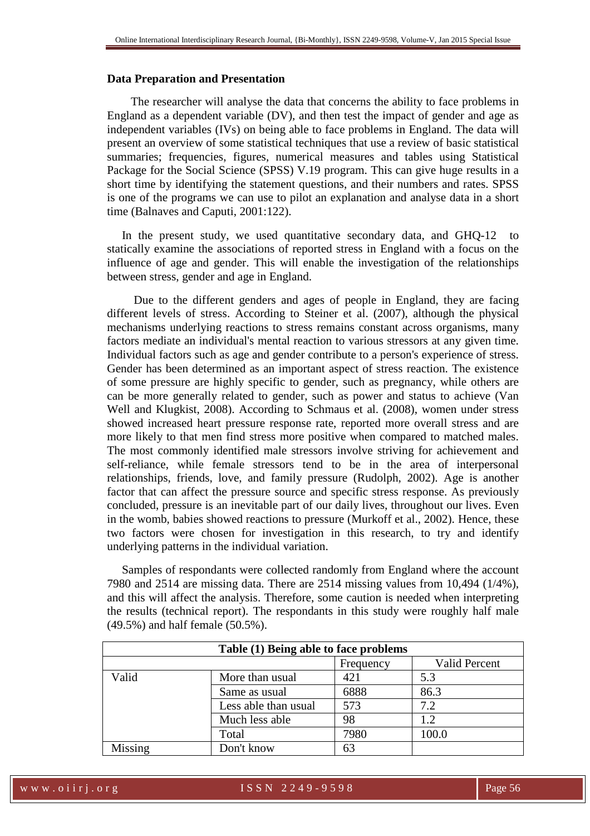#### **Data Preparation and Presentation**

 The researcher will analyse the data that concerns the ability to face problems in England as a dependent variable (DV), and then test the impact of gender and age as independent variables (IVs) on being able to face problems in England. The data will present an overview of some statistical techniques that use a review of basic statistical summaries; frequencies, figures, numerical measures and tables using Statistical Package for the Social Science (SPSS) V.19 program. This can give huge results in a short time by identifying the statement questions, and their numbers and rates. SPSS is one of the programs we can use to pilot an explanation and analyse data in a short time (Balnaves and Caputi, 2001:122).

In the present study, we used quantitative secondary data, and GHQ-12 to statically examine the associations of reported stress in England with a focus on the influence of age and gender. This will enable the investigation of the relationships between stress, gender and age in England.

 Due to the different genders and ages of people in England, they are facing different levels of stress. According to Steiner et al. (2007), although the physical mechanisms underlying reactions to stress remains constant across organisms, many factors mediate an individual's mental reaction to various stressors at any given time. Individual factors such as age and gender contribute to a person's experience of stress. Gender has been determined as an important aspect of stress reaction. The existence of some pressure are highly specific to gender, such as pregnancy, while others are can be more generally related to gender, such as power and status to achieve (Van Well and Klugkist, 2008). According to Schmaus et al. (2008), women under stress showed increased heart pressure response rate, reported more overall stress and are more likely to that men find stress more positive when compared to matched males. The most commonly identified male stressors involve striving for achievement and self-reliance, while female stressors tend to be in the area of interpersonal relationships, friends, love, and family pressure (Rudolph, 2002). Age is another factor that can affect the pressure source and specific stress response. As previously concluded, pressure is an inevitable part of our daily lives, throughout our lives. Even in the womb, babies showed reactions to pressure (Murkoff et al., 2002). Hence, these two factors were chosen for investigation in this research, to try and identify underlying patterns in the individual variation.

 Samples of respondants were collected randomly from England where the account 7980 and 2514 are missing data. There are 2514 missing values from 10,494 (1/4%), and this will affect the analysis. Therefore, some caution is needed when interpreting the results (technical report). The respondants in this study were roughly half male (49.5%) and half female (50.5%).

| Table (1) Being able to face problems |                      |      |       |  |  |  |  |  |  |
|---------------------------------------|----------------------|------|-------|--|--|--|--|--|--|
| <b>Valid Percent</b><br>Frequency     |                      |      |       |  |  |  |  |  |  |
| Valid                                 | More than usual      | 421  | 5.3   |  |  |  |  |  |  |
|                                       | Same as usual        | 6888 | 86.3  |  |  |  |  |  |  |
|                                       | Less able than usual | 573  | 7.2   |  |  |  |  |  |  |
|                                       | Much less able       | 98   | 1.2   |  |  |  |  |  |  |
|                                       | Total                | 7980 | 100.0 |  |  |  |  |  |  |
| Missing                               | Don't know           | 63   |       |  |  |  |  |  |  |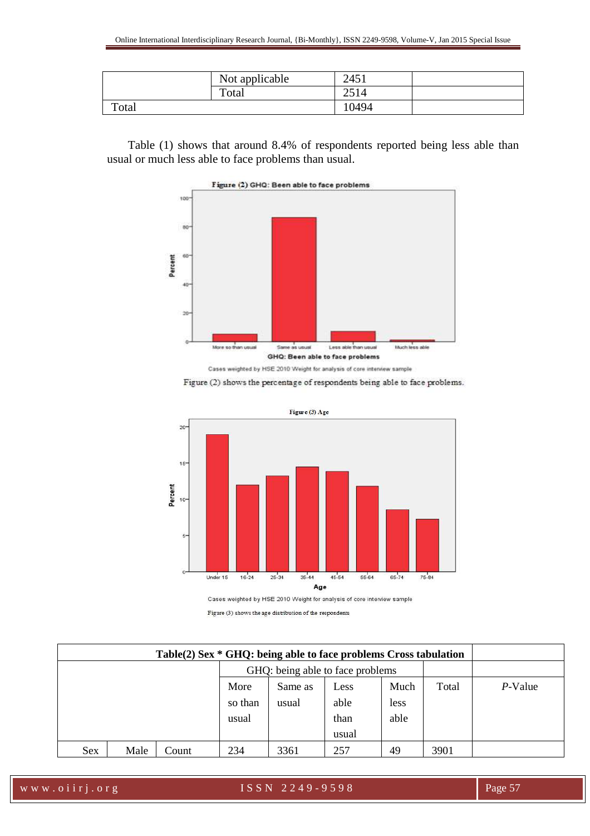|       | Not applicable | 2451  |  |
|-------|----------------|-------|--|
|       | Total          | 2514  |  |
| Total |                | 10494 |  |

 Table (1) shows that around 8.4% of respondents reported being less able than usual or much less able to face problems than usual.



Figure (2) shows the percentage of respondents being able to face problems.



Cases weighted by HSE 2010 Weight for analysis of core interview sample

Figure (3) shows the age distribution of the respondents

| GHQ: being able to face problems |      |       |         |         |       |      |       |         |
|----------------------------------|------|-------|---------|---------|-------|------|-------|---------|
|                                  |      |       | More    | Same as | Less  | Much | Total | P-Value |
|                                  |      |       | so than | usual   | able  | less |       |         |
|                                  |      |       | usual   |         | than  | able |       |         |
|                                  |      |       |         |         | usual |      |       |         |
| <b>Sex</b>                       | Male | Count | 234     | 3361    | 257   | 49   | 3901  |         |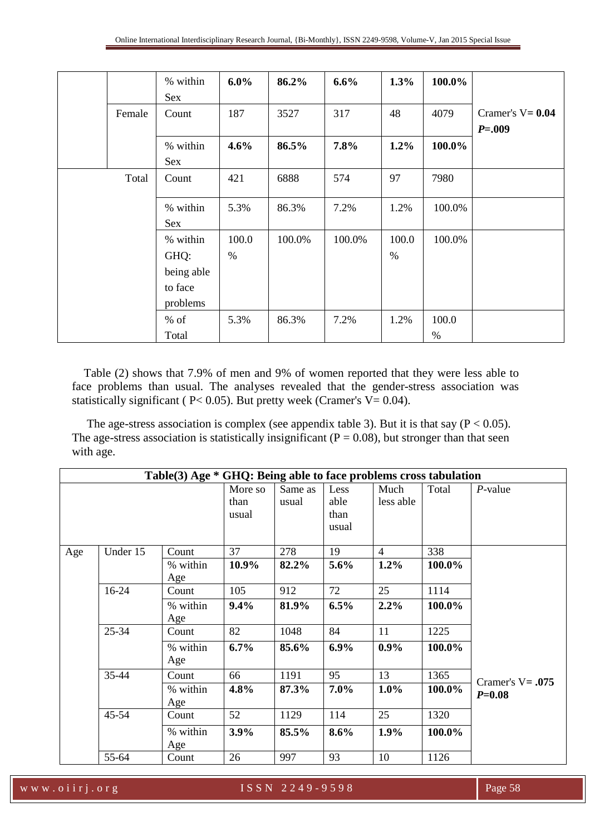|        | % within   | $6.0\%$ | 86.2%  | 6.6%   | 1.3%  | 100.0% |                     |
|--------|------------|---------|--------|--------|-------|--------|---------------------|
|        | Sex        |         |        |        |       |        |                     |
| Female | Count      | 187     | 3527   | 317    | 48    | 4079   | Cramer's $V = 0.04$ |
|        |            |         |        |        |       |        | $P = .009$          |
|        | % within   | 4.6%    | 86.5%  | 7.8%   | 1.2%  | 100.0% |                     |
|        | Sex        |         |        |        |       |        |                     |
| Total  | Count      | 421     | 6888   | 574    | 97    | 7980   |                     |
|        |            |         |        |        |       |        |                     |
|        | % within   | 5.3%    | 86.3%  | 7.2%   | 1.2%  | 100.0% |                     |
|        | Sex        |         |        |        |       |        |                     |
|        | % within   | 100.0   | 100.0% | 100.0% | 100.0 | 100.0% |                     |
|        | GHQ:       | $\%$    |        |        | $\%$  |        |                     |
|        | being able |         |        |        |       |        |                     |
|        | to face    |         |        |        |       |        |                     |
|        | problems   |         |        |        |       |        |                     |
|        | $%$ of     | 5.3%    | 86.3%  | 7.2%   | 1.2%  | 100.0  |                     |
|        | Total      |         |        |        |       | $\%$   |                     |

 Table (2) shows that 7.9% of men and 9% of women reported that they were less able to face problems than usual. The analyses revealed that the gender-stress association was statistically significant ( $P < 0.05$ ). But pretty week (Cramer's V= 0.04).

The age-stress association is complex (see appendix table 3). But it is that say ( $P < 0.05$ ). The age-stress association is statistically insignificant ( $P = 0.08$ ), but stronger than that seen with age.

|     | Table(3) Age * GHQ: Being able to face problems cross tabulation |                          |                          |                  |                               |                        |                |                                   |  |  |  |  |
|-----|------------------------------------------------------------------|--------------------------|--------------------------|------------------|-------------------------------|------------------------|----------------|-----------------------------------|--|--|--|--|
|     |                                                                  |                          | More so<br>than<br>usual | Same as<br>usual | Less<br>able<br>than<br>usual | Much<br>less able      | Total          | $P$ -value                        |  |  |  |  |
| Age | Under 15                                                         | Count<br>% within<br>Age | 37<br>10.9%              | 278<br>82.2%     | 19<br>5.6%                    | $\overline{4}$<br>1.2% | 338<br>100.0%  |                                   |  |  |  |  |
|     | 16-24                                                            | Count<br>% within<br>Age | 105<br>9.4%              | 912<br>81.9%     | 72<br>6.5%                    | 25<br>2.2%             | 1114<br>100.0% |                                   |  |  |  |  |
|     | 25-34                                                            | Count<br>% within<br>Age | 82<br>6.7%               | 1048<br>85.6%    | 84<br>6.9%                    | 11<br>$0.9\%$          | 1225<br>100.0% |                                   |  |  |  |  |
|     | 35-44                                                            | Count<br>% within<br>Age | 66<br>4.8%               | 1191<br>87.3%    | 95<br>7.0%                    | 13<br>1.0%             | 1365<br>100.0% | Cramer's $V = .075$<br>$P = 0.08$ |  |  |  |  |
|     | $45 - 54$                                                        | Count<br>% within<br>Age | 52<br>3.9%               | 1129<br>85.5%    | 114<br>8.6%                   | 25<br>1.9%             | 1320<br>100.0% |                                   |  |  |  |  |
|     | 55-64                                                            | Count                    | 26                       | 997              | 93                            | 10                     | 1126           |                                   |  |  |  |  |

w w w . o i i r j . o r g <br>
I S S N 2 2 4 9 - 9 5 9 8 Page 58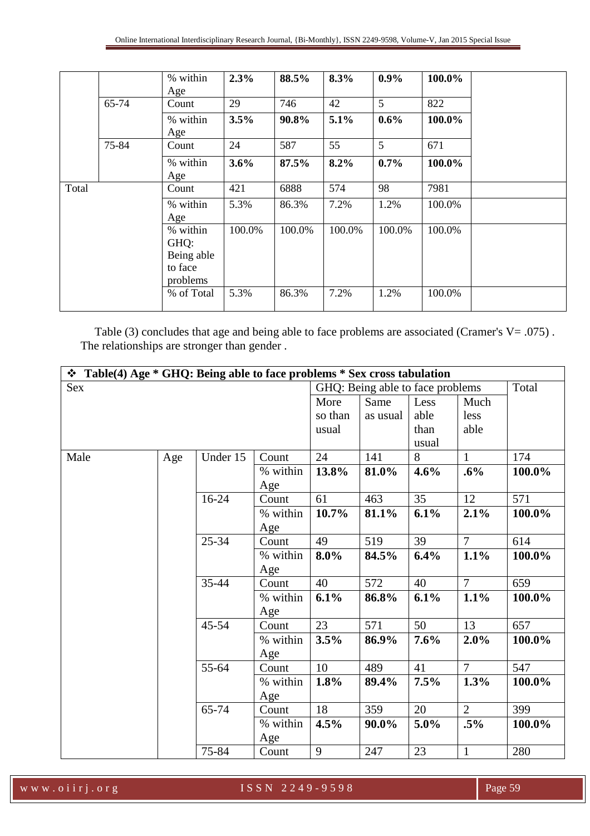|       |       | % within                                              | 2.3%   | 88.5%  | 8.3%   | $0.9\%$ | 100.0% |
|-------|-------|-------------------------------------------------------|--------|--------|--------|---------|--------|
|       |       | Age                                                   |        |        |        |         |        |
|       | 65-74 | Count                                                 | 29     | 746    | 42     | 5       | 822    |
|       |       | % within<br>Age                                       | 3.5%   | 90.8%  | 5.1%   | $0.6\%$ | 100.0% |
|       | 75-84 | Count                                                 | 24     | 587    | 55     | 5       | 671    |
|       |       | % within<br>Age                                       | 3.6%   | 87.5%  | 8.2%   | 0.7%    | 100.0% |
| Total |       | Count                                                 | 421    | 6888   | 574    | 98      | 7981   |
|       |       | % within<br>Age                                       | 5.3%   | 86.3%  | 7.2%   | 1.2%    | 100.0% |
|       |       | % within<br>GHQ:<br>Being able<br>to face<br>problems | 100.0% | 100.0% | 100.0% | 100.0%  | 100.0% |
|       |       | % of Total                                            | 5.3%   | 86.3%  | 7.2%   | 1.2%    | 100.0% |

Table (3) concludes that age and being able to face problems are associated (Cramer's V= .075). The relationships are stronger than gender .

| $\div$ Table(4) Age $*$ GHQ: Being able to face problems $*$ Sex cross tabulation |     |           |          |         |                                  |       |                |        |  |  |  |
|-----------------------------------------------------------------------------------|-----|-----------|----------|---------|----------------------------------|-------|----------------|--------|--|--|--|
| Sex                                                                               |     |           |          |         | GHQ: Being able to face problems |       |                | Total  |  |  |  |
|                                                                                   |     |           |          | More    | Same                             | Less  | Much           |        |  |  |  |
|                                                                                   |     |           |          | so than | as usual                         | able  | less           |        |  |  |  |
|                                                                                   |     |           |          | usual   |                                  | than  | able           |        |  |  |  |
|                                                                                   |     |           |          |         |                                  | usual |                |        |  |  |  |
| Male                                                                              | Age | Under 15  | Count    | 24      | 141                              | 8     | 1              | 174    |  |  |  |
|                                                                                   |     |           | % within | 13.8%   | 81.0%                            | 4.6%  | .6%            | 100.0% |  |  |  |
|                                                                                   |     |           | Age      |         |                                  |       |                |        |  |  |  |
|                                                                                   |     | $16-24$   | Count    | 61      | 463                              | 35    | 12             | 571    |  |  |  |
|                                                                                   |     |           | % within | 10.7%   | 81.1%                            | 6.1%  | 2.1%           | 100.0% |  |  |  |
|                                                                                   |     |           | Age      |         |                                  |       |                |        |  |  |  |
|                                                                                   |     | $25 - 34$ | Count    | 49      | 519                              | 39    | $\tau$         | 614    |  |  |  |
|                                                                                   |     |           | % within | 8.0%    | 84.5%                            | 6.4%  | 1.1%           | 100.0% |  |  |  |
|                                                                                   |     |           | Age      |         |                                  |       |                |        |  |  |  |
|                                                                                   |     | $35 - 44$ | Count    | 40      | 572                              | 40    | $\overline{7}$ | 659    |  |  |  |
|                                                                                   |     |           | % within | 6.1%    | 86.8%                            | 6.1%  | 1.1%           | 100.0% |  |  |  |
|                                                                                   |     |           | Age      |         |                                  |       |                |        |  |  |  |
|                                                                                   |     | $45 - 54$ | Count    | 23      | 571                              | 50    | 13             | 657    |  |  |  |
|                                                                                   |     |           | % within | 3.5%    | 86.9%                            | 7.6%  | 2.0%           | 100.0% |  |  |  |
|                                                                                   |     |           | Age      |         |                                  |       |                |        |  |  |  |
|                                                                                   |     | 55-64     | Count    | 10      | 489                              | 41    | $\overline{7}$ | 547    |  |  |  |
|                                                                                   |     |           | % within | 1.8%    | 89.4%                            | 7.5%  | 1.3%           | 100.0% |  |  |  |
|                                                                                   |     |           | Age      |         |                                  |       |                |        |  |  |  |
|                                                                                   |     | 65-74     | Count    | 18      | 359                              | 20    | $\overline{2}$ | 399    |  |  |  |
|                                                                                   |     |           | % within | 4.5%    | 90.0%                            | 5.0%  | $.5\%$         | 100.0% |  |  |  |
|                                                                                   |     |           | Age      |         |                                  |       |                |        |  |  |  |
|                                                                                   |     | 75-84     | Count    | 9       | 247                              | 23    | $\mathbf{1}$   | 280    |  |  |  |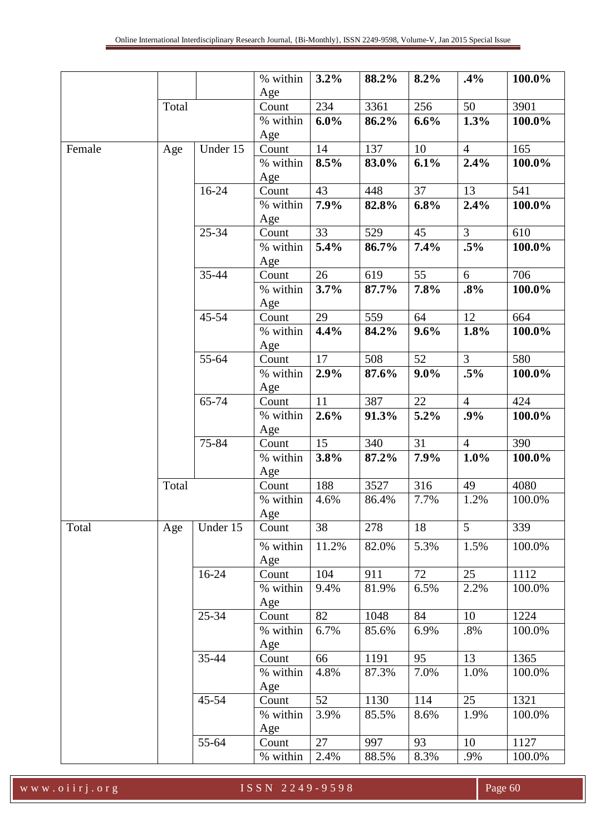|        |       |           | % within        | 3.2%  | 88.2% | 8.2%    | .4%            | 100.0% |
|--------|-------|-----------|-----------------|-------|-------|---------|----------------|--------|
|        |       |           | Age             |       |       |         |                |        |
|        | Total |           | Count           | 234   | 3361  | 256     | 50             | 3901   |
|        |       |           | % within        | 6.0%  | 86.2% | 6.6%    | 1.3%           | 100.0% |
|        |       |           | Age             |       |       |         |                |        |
| Female | Age   | Under 15  | Count           | 14    | 137   | 10      | $\overline{4}$ | 165    |
|        |       |           | % within        | 8.5%  | 83.0% | 6.1%    | 2.4%           | 100.0% |
|        |       |           | Age             |       |       |         |                |        |
|        |       | $16 - 24$ | Count           | 43    | 448   | 37      | 13             | 541    |
|        |       |           | % within        | 7.9%  | 82.8% | 6.8%    | 2.4%           | 100.0% |
|        |       |           | Age             |       |       |         |                |        |
|        |       | 25-34     | Count           | 33    | 529   | 45      | $\mathfrak{Z}$ | 610    |
|        |       |           | % within        | 5.4%  | 86.7% | 7.4%    | $.5\%$         | 100.0% |
|        |       |           | Age             |       |       |         |                |        |
|        |       | 35-44     | Count           | 26    | 619   | 55      | 6              | 706    |
|        |       |           | % within        | 3.7%  | 87.7% | 7.8%    | .8%            | 100.0% |
|        |       |           | Age             |       |       |         |                |        |
|        |       | 45-54     | Count           | 29    | 559   | 64      | 12             | 664    |
|        |       |           | % within        | 4.4%  | 84.2% | 9.6%    | 1.8%           | 100.0% |
|        |       |           | Age             |       |       |         |                |        |
|        |       | 55-64     | Count           | 17    | 508   | 52      | $\overline{3}$ | 580    |
|        |       |           | % within        | 2.9%  | 87.6% | $9.0\%$ | $.5\%$         | 100.0% |
|        |       |           | Age             |       |       |         |                |        |
|        |       | 65-74     | Count           | 11    | 387   | 22      | $\overline{4}$ | 424    |
|        |       |           | % within        | 2.6%  | 91.3% | 5.2%    | .9%            | 100.0% |
|        |       |           | Age             |       |       |         |                |        |
|        |       | 75-84     | Count           | 15    | 340   | 31      | $\overline{4}$ | 390    |
|        |       |           | % within        | 3.8%  | 87.2% | 7.9%    | 1.0%           | 100.0% |
|        |       |           | Age             |       |       |         |                |        |
|        | Total |           | Count           | 188   | 3527  | 316     | 49             | 4080   |
|        |       |           | % within        | 4.6%  | 86.4% | 7.7%    | 1.2%           | 100.0% |
|        |       |           | Age             |       |       |         |                |        |
| Total  | Age   | Under 15  | Count           | 38    | 278   | 18      | 5 <sup>5</sup> | 339    |
|        |       |           | % within        | 11.2% | 82.0% | 5.3%    | 1.5%           | 100.0% |
|        |       |           | Age             |       |       |         |                |        |
|        |       | $16 - 24$ | Count           | 104   | 911   | 72      | 25             | 1112   |
|        |       |           | % within        | 9.4%  | 81.9% | 6.5%    | 2.2%           | 100.0% |
|        |       |           | Age             |       |       |         |                |        |
|        |       | 25-34     | Count           | 82    | 1048  | 84      | 10             | 1224   |
|        |       |           |                 | 6.7%  |       | 6.9%    |                | 100.0% |
|        |       |           | % within<br>Age |       | 85.6% |         | $.8\%$         |        |
|        |       | 35-44     | Count           | 66    | 1191  | 95      | 13             | 1365   |
|        |       |           | % within        | 4.8%  | 87.3% | 7.0%    | 1.0%           | 100.0% |
|        |       |           | Age             |       |       |         |                |        |
|        |       | 45-54     | Count           | 52    | 1130  | 114     | 25             | 1321   |
|        |       |           |                 | 3.9%  |       | 8.6%    | 1.9%           | 100.0% |
|        |       |           | % within        |       | 85.5% |         |                |        |
|        |       | 55-64     | Age<br>Count    | 27    | 997   | 93      | 10             | 1127   |
|        |       |           |                 |       |       |         |                |        |
|        |       |           | % within        | 2.4%  | 88.5% | 8.3%    | .9%            | 100.0% |

w w w . o i i r j . o r g I S S N 2 2 4 9 - 9 5 9 8 Page 60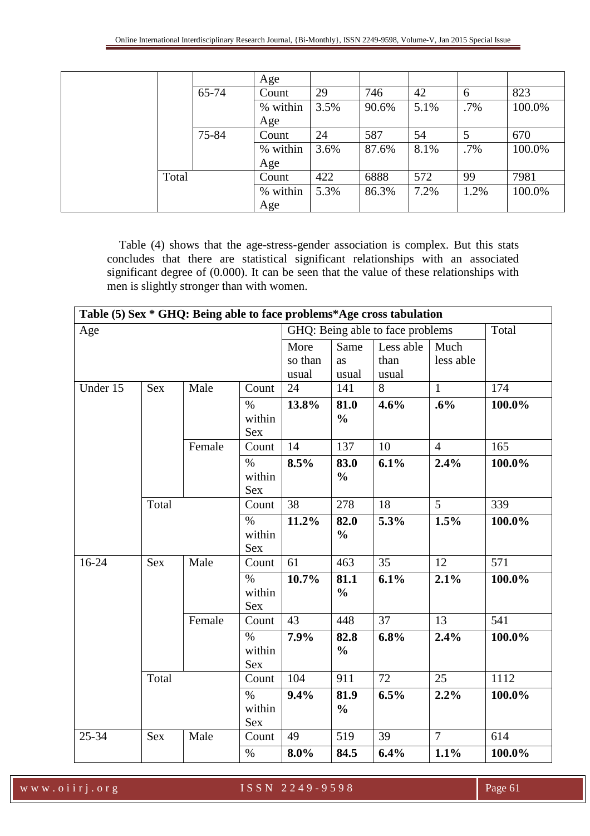|       |       | Age      |      |       |      |      |        |
|-------|-------|----------|------|-------|------|------|--------|
|       | 65-74 | Count    | 29   | 746   | 42   | 6    | 823    |
|       |       | % within | 3.5% | 90.6% | 5.1% | .7%  | 100.0% |
|       |       | Age      |      |       |      |      |        |
|       | 75-84 | Count    | 24   | 587   | 54   | 5    | 670    |
|       |       | % within | 3.6% | 87.6% | 8.1% | .7%  | 100.0% |
|       |       | Age      |      |       |      |      |        |
| Total |       | Count    | 422  | 6888  | 572  | 99   | 7981   |
|       |       | % within | 5.3% | 86.3% | 7.2% | 1.2% | 100.0% |
|       |       | Age      |      |       |      |      |        |

 Table (4) shows that the age-stress-gender association is complex. But this stats concludes that there are statistical significant relationships with an associated significant degree of (0.000). It can be seen that the value of these relationships with men is slightly stronger than with women.

|          |            |        |                              |                          |                       | Table (5) Sex * GHQ: Being able to face problems*Age cross tabulation |                   |        |
|----------|------------|--------|------------------------------|--------------------------|-----------------------|-----------------------------------------------------------------------|-------------------|--------|
| Age      |            |        |                              |                          |                       | GHQ: Being able to face problems                                      |                   | Total  |
|          |            |        |                              | More<br>so than<br>usual | Same<br>as<br>usual   | Less able<br>than<br>usual                                            | Much<br>less able |        |
| Under 15 | Sex        | Male   | Count                        | 24                       | 141                   | 8                                                                     | $\mathbf{1}$      | 174    |
|          |            |        | $\%$<br>within<br><b>Sex</b> | 13.8%                    | 81.0<br>$\frac{0}{0}$ | 4.6%                                                                  | .6%               | 100.0% |
|          |            | Female | Count                        | $\overline{14}$          | 137                   | 10                                                                    | $\overline{4}$    | 165    |
|          |            |        | $\%$<br>within<br>Sex        | 8.5%                     | 83.0<br>$\frac{0}{0}$ | 6.1%                                                                  | 2.4%              | 100.0% |
|          | Total      |        | Count                        | 38                       | 278                   | 18                                                                    | 5                 | 339    |
|          |            |        | $\%$<br>within<br><b>Sex</b> | 11.2%                    | 82.0<br>$\frac{0}{0}$ | 5.3%                                                                  | 1.5%              | 100.0% |
| $16-24$  | <b>Sex</b> | Male   | Count                        | 61                       | 463                   | 35                                                                    | 12                | 571    |
|          |            |        | $\%$<br>within<br>Sex        | 10.7%                    | 81.1<br>$\frac{0}{0}$ | 6.1%                                                                  | 2.1%              | 100.0% |
|          |            | Female | Count                        | 43                       | 448                   | 37                                                                    | 13                | 541    |
|          |            |        | $\%$<br>within<br><b>Sex</b> | 7.9%                     | 82.8<br>$\frac{0}{0}$ | 6.8%                                                                  | 2.4%              | 100.0% |
|          | Total      |        | Count                        | 104                      | 911                   | 72                                                                    | 25                | 1112   |
|          |            |        | $\%$<br>within<br>Sex        | 9.4%                     | 81.9<br>$\frac{0}{0}$ | 6.5%                                                                  | 2.2%              | 100.0% |
| 25-34    | Sex        | Male   | Count                        | 49                       | 519                   | 39                                                                    | $\overline{7}$    | 614    |
|          |            |        | $\%$                         | $8.0\%$                  | 84.5                  | 6.4%                                                                  | 1.1%              | 100.0% |

w w w . o i i r j . o r g I S S N 2 2 4 9 - 9 5 9 8 Page 61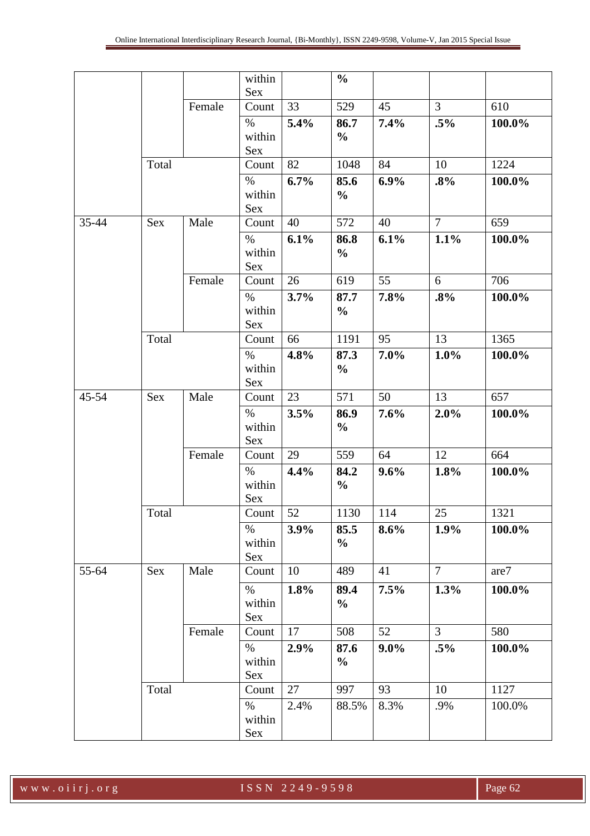|       |            |        | within              |      | $\frac{0}{0}$         |         |                |        |
|-------|------------|--------|---------------------|------|-----------------------|---------|----------------|--------|
|       |            | Female | <b>Sex</b><br>Count | 33   | 529                   | 45      | $\overline{3}$ | 610    |
|       |            |        |                     |      |                       |         |                |        |
|       |            |        | $\%$<br>within      | 5.4% | 86.7<br>$\frac{0}{0}$ | 7.4%    | $.5\%$         | 100.0% |
|       |            |        | Sex                 |      |                       |         |                |        |
|       | Total      |        | Count               | 82   | 1048                  | 84      | 10             | 1224   |
|       |            |        | $\%$                | 6.7% | 85.6                  | 6.9%    | .8%            | 100.0% |
|       |            |        | within              |      | $\frac{0}{0}$         |         |                |        |
|       |            |        | Sex                 |      |                       |         |                |        |
| 35-44 | <b>Sex</b> | Male   | Count               | 40   | 572                   | 40      | $\overline{7}$ | 659    |
|       |            |        | $\%$                | 6.1% | 86.8                  | 6.1%    | 1.1%           | 100.0% |
|       |            |        | within              |      | $\frac{0}{0}$         |         |                |        |
|       |            |        | Sex                 |      |                       |         |                |        |
|       |            | Female | Count               | 26   | 619                   | 55      | 6              | 706    |
|       |            |        | $\%$                | 3.7% | 87.7                  | 7.8%    | .8%            | 100.0% |
|       |            |        | within              |      | $\frac{0}{0}$         |         |                |        |
|       |            |        | Sex                 |      |                       |         |                |        |
|       | Total      |        | Count               | 66   | 1191                  | 95      | 13             | 1365   |
|       |            |        | $\%$                | 4.8% | 87.3                  | 7.0%    | 1.0%           | 100.0% |
|       |            |        | within<br>Sex       |      | $\frac{0}{0}$         |         |                |        |
| 45-54 | <b>Sex</b> | Male   | Count               | 23   | 571                   | 50      | 13             | 657    |
|       |            |        | $\%$                | 3.5% | 86.9                  | 7.6%    | 2.0%           | 100.0% |
|       |            |        | within              |      | $\frac{0}{0}$         |         |                |        |
|       |            |        | <b>Sex</b>          |      |                       |         |                |        |
|       |            | Female | Count               | 29   | 559                   | 64      | 12             | 664    |
|       |            |        | $\%$                | 4.4% | 84.2                  | 9.6%    | 1.8%           | 100.0% |
|       |            |        | within              |      | $\frac{6}{6}$         |         |                |        |
|       |            |        | Sex                 |      |                       |         |                |        |
|       | Total      |        | Count               | 52   | 1130                  | 114     | 25             | 1321   |
|       |            |        | $\%$                | 3.9% | 85.5                  | 8.6%    | $1.9\%$        | 100.0% |
|       |            |        | within              |      | $\frac{0}{0}$         |         |                |        |
|       |            |        | Sex                 |      |                       |         |                |        |
| 55-64 | Sex        | Male   | Count               | 10   | 489                   | 41      | 7 <sup>1</sup> | are7   |
|       |            |        | $\%$                | 1.8% | 89.4                  | 7.5%    | 1.3%           | 100.0% |
|       |            |        | within              |      | $\frac{0}{0}$         |         |                |        |
|       |            |        | Sex                 |      |                       |         |                |        |
|       |            | Female | Count               | 17   | 508                   | 52      | 3 <sup>1</sup> | 580    |
|       |            |        | $\%$                | 2.9% | 87.6                  | $9.0\%$ | $.5\%$         | 100.0% |
|       |            |        | within<br>Sex       |      | $\frac{0}{0}$         |         |                |        |
|       | Total      |        | Count               | 27   | 997                   | 93      | 10             | 1127   |
|       |            |        | $\%$                | 2.4% | 88.5%                 | 8.3%    | .9%            | 100.0% |
|       |            |        | within              |      |                       |         |                |        |
|       |            |        | Sex                 |      |                       |         |                |        |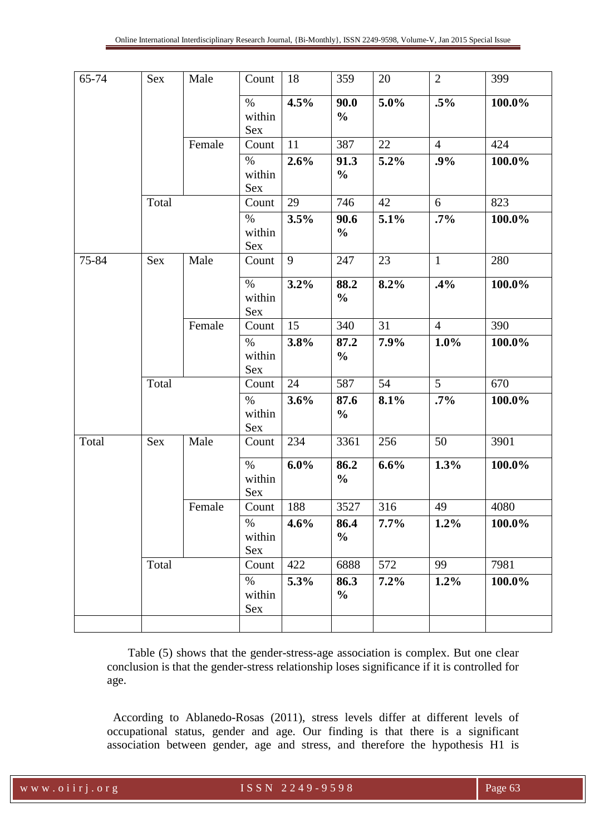| 65-74 | Sex        | Male   | Count          | 18      | 359                   | 20      | $\overline{2}$ | 399    |
|-------|------------|--------|----------------|---------|-----------------------|---------|----------------|--------|
|       |            |        | $\%$           | 4.5%    | 90.0                  | 5.0%    | $.5\%$         | 100.0% |
|       |            |        | within         |         | $\frac{0}{0}$         |         |                |        |
|       |            |        | Sex            |         |                       |         |                |        |
|       |            | Female | Count          | 11      | 387                   | 22      | $\overline{4}$ | 424    |
|       |            |        | $\%$           | 2.6%    | 91.3                  | 5.2%    | .9%            | 100.0% |
|       |            |        | within<br>Sex  |         | $\frac{0}{0}$         |         |                |        |
|       | Total      |        | Count          | 29      | 746                   | 42      | 6              | 823    |
|       |            |        | $\%$           | 3.5%    | 90.6                  | 5.1%    | $.7\%$         | 100.0% |
|       |            |        | within         |         | $\frac{0}{0}$         |         |                |        |
|       |            |        | Sex            |         |                       |         |                |        |
| 75-84 | Sex        | Male   | Count          | 9       | 247                   | 23      | $\mathbf{1}$   | 280    |
|       |            |        | $\%$           | 3.2%    | 88.2                  | 8.2%    | .4%            | 100.0% |
|       |            |        | within         |         | $\frac{0}{0}$         |         |                |        |
|       |            |        | Sex            |         |                       |         |                |        |
|       |            | Female | Count          | 15      | 340                   | 31      | $\overline{4}$ | 390    |
|       |            |        | $\%$           | 3.8%    | 87.2                  | 7.9%    | $1.0\%$        | 100.0% |
|       |            |        | within<br>Sex  |         | $\frac{0}{0}$         |         |                |        |
|       | Total      |        | Count          | 24      | 587                   | 54      | 5              | 670    |
|       |            |        | $\%$           | 3.6%    | 87.6                  | 8.1%    | $.7\%$         | 100.0% |
|       |            |        | within         |         | $\frac{0}{0}$         |         |                |        |
|       |            |        | Sex            |         |                       |         |                |        |
| Total | <b>Sex</b> | Male   | Count          | 234     | 3361                  | 256     | 50             | 3901   |
|       |            |        | $\%$           | $6.0\%$ | 86.2                  | 6.6%    | 1.3%           | 100.0% |
|       |            |        | within         |         | $\frac{0}{0}$         |         |                |        |
|       |            |        | Sex            |         |                       |         |                |        |
|       |            | Female | Count          | 188     | 3527                  | 316     | 49             | 4080   |
|       |            |        | $\%$<br>within | 4.6%    | 86.4<br>$\frac{0}{0}$ | $7.7\%$ | 1.2%           | 100.0% |
|       |            |        | Sex            |         |                       |         |                |        |
|       | Total      |        | Count          | 422     | 6888                  | 572     | 99             | 7981   |
|       |            |        | $\%$           | 5.3%    | 86.3                  | 7.2%    | 1.2%           | 100.0% |
|       |            |        | within         |         | $\frac{0}{0}$         |         |                |        |
|       |            |        | Sex            |         |                       |         |                |        |
|       |            |        |                |         |                       |         |                |        |

 Table (5) shows that the gender-stress-age association is complex. But one clear conclusion is that the gender-stress relationship loses significance if it is controlled for age.

 According to Ablanedo-Rosas (2011), stress levels differ at different levels of occupational status, gender and age. Our finding is that there is a significant association between gender, age and stress, and therefore the hypothesis H1 is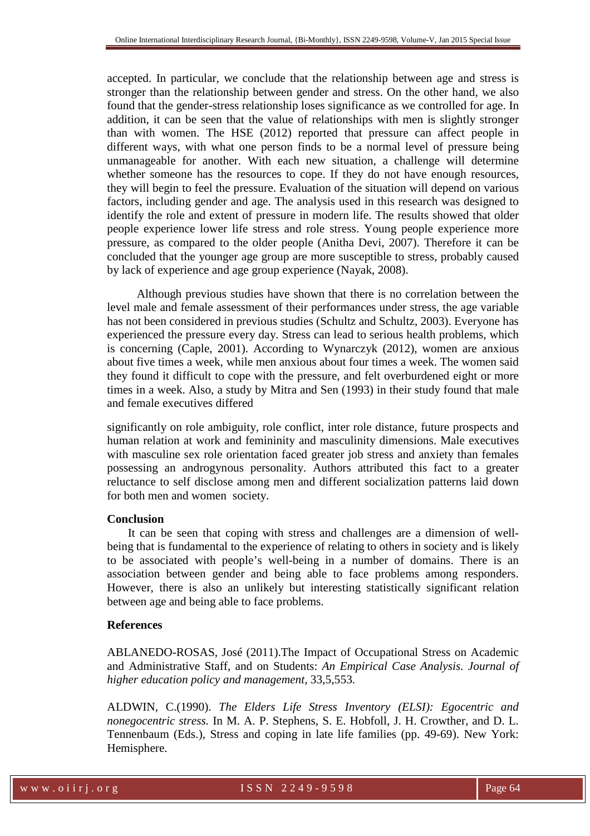accepted. In particular, we conclude that the relationship between age and stress is stronger than the relationship between gender and stress. On the other hand, we also found that the gender-stress relationship loses significance as we controlled for age. In addition, it can be seen that the value of relationships with men is slightly stronger than with women. The HSE (2012) reported that pressure can affect people in different ways, with what one person finds to be a normal level of pressure being unmanageable for another. With each new situation, a challenge will determine whether someone has the resources to cope. If they do not have enough resources, they will begin to feel the pressure. Evaluation of the situation will depend on various factors, including gender and age. The analysis used in this research was designed to identify the role and extent of pressure in modern life. The results showed that older people experience lower life stress and role stress. Young people experience more pressure, as compared to the older people (Anitha Devi, 2007). Therefore it can be concluded that the younger age group are more susceptible to stress, probably caused by lack of experience and age group experience (Nayak, 2008).

 Although previous studies have shown that there is no correlation between the level male and female assessment of their performances under stress, the age variable has not been considered in previous studies (Schultz and Schultz, 2003). Everyone has experienced the pressure every day. Stress can lead to serious health problems, which is concerning (Caple, 2001). According to Wynarczyk (2012), women are anxious about five times a week, while men anxious about four times a week. The women said they found it difficult to cope with the pressure, and felt overburdened eight or more times in a week. Also, a study by Mitra and Sen (1993) in their study found that male and female executives differed

significantly on role ambiguity, role conflict, inter role distance, future prospects and human relation at work and femininity and masculinity dimensions. Male executives with masculine sex role orientation faced greater job stress and anxiety than females possessing an androgynous personality. Authors attributed this fact to a greater reluctance to self disclose among men and different socialization patterns laid down for both men and women society.

# **Conclusion**

 It can be seen that coping with stress and challenges are a dimension of wellbeing that is fundamental to the experience of relating to others in society and is likely to be associated with people's well-being in a number of domains. There is an association between gender and being able to face problems among responders. However, there is also an unlikely but interesting statistically significant relation between age and being able to face problems.

# **References**

ABLANEDO-ROSAS, José (2011).The Impact of Occupational Stress on Academic and Administrative Staff, and on Students: *An Empirical Case Analysis. Journal of higher education policy and management,* 33,5,553.

ALDWIN, C.(1990). *The Elders Life Stress Inventory (ELSI): Egocentric and nonegocentric stress.* In M. A. P. Stephens, S. E. Hobfoll, J. H. Crowther, and D. L. Tennenbaum (Eds.), Stress and coping in late life families (pp. 49-69). New York: Hemisphere.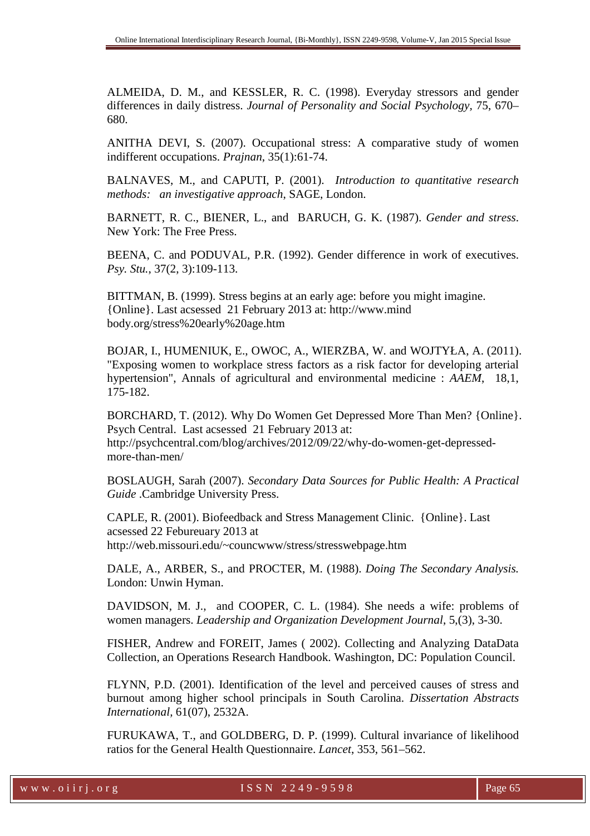ALMEIDA, D. M., and KESSLER, R. C. (1998). Everyday stressors and gender differences in daily distress. *Journal of Personality and Social Psychology,* 75, 670– 680.

ANITHA DEVI, S. (2007). Occupational stress: A comparative study of women indifferent occupations. *Prajnan*, 35(1):61-74.

BALNAVES, M., and CAPUTI, P. (2001). *Introduction to quantitative research methods: an investigative approach*, SAGE, London.

BARNETT, R. C., BIENER, L., and BARUCH, G. K. (1987). *Gender and stress*. New York: The Free Press.

BEENA, C. and PODUVAL, P.R. (1992). Gender difference in work of executives. *Psy. Stu.*, 37(2, 3):109-113.

BITTMAN, B. (1999). Stress begins at an early age: before you might imagine. {Online}. Last acsessed 21 February 2013 at: http://www.mind body.org/stress%20early%20age.htm

BOJAR, I., HUMENIUK, E., OWOC, A., WIERZBA, W. and WOJTYŁA, A. (2011). "Exposing women to workplace stress factors as a risk factor for developing arterial hypertension", Annals of agricultural and environmental medicine : *AAEM*, 18,1, 175-182.

BORCHARD, T. (2012). Why Do Women Get Depressed More Than Men? {Online}. Psych Central. Last acsessed 21 February 2013 at: http://psychcentral.com/blog/archives/2012/09/22/why-do-women-get-depressedmore-than-men/

BOSLAUGH, Sarah (2007). *Secondary Data Sources for Public Health: A Practical Guide* .Cambridge University Press.

CAPLE, R. (2001). Biofeedback and Stress Management Clinic. {Online}. Last acsessed 22 Febureuary 2013 at http://web.missouri.edu/~councwww/stress/stresswebpage.htm

DALE, A., ARBER, S., and PROCTER, M. (1988). *Doing The Secondary Analysis.* London: Unwin Hyman.

DAVIDSON, M. J., and COOPER, C. L. (1984). She needs a wife: problems of women managers. *Leadership and Organization Development Journal*, 5,(3), 3-30.

FISHER, Andrew and FOREIT, James ( 2002). Collecting and Analyzing DataData Collection, an Operations Research Handbook. Washington, DC: Population Council.

FLYNN, P.D. (2001). Identification of the level and perceived causes of stress and burnout among higher school principals in South Carolina. *Dissertation Abstracts International,* 61(07), 2532A.

FURUKAWA, T., and GOLDBERG, D. P. (1999). Cultural invariance of likelihood ratios for the General Health Questionnaire. *Lancet*, 353, 561–562.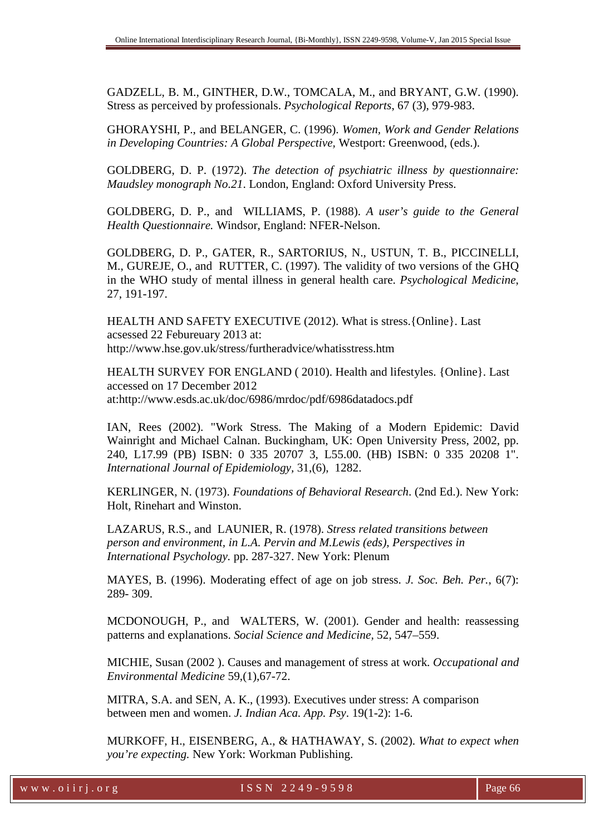GADZELL, B. M., GINTHER, D.W., TOMCALA, M., and BRYANT, G.W. (1990). Stress as perceived by professionals. *Psychological Reports*, 67 (3), 979-983.

GHORAYSHI, P., and BELANGER, C. (1996). *Women, Work and Gender Relations in Developing Countries: A Global Perspective,* Westport: Greenwood, (eds.).

GOLDBERG, D. P. (1972). *The detection of psychiatric illness by questionnaire: Maudsley monograph No.21*. London, England: Oxford University Press.

GOLDBERG, D. P., and WILLIAMS, P. (1988). *A user's guide to the General Health Questionnaire.* Windsor, England: NFER-Nelson.

GOLDBERG, D. P., GATER, R., SARTORIUS, N., USTUN, T. B., PICCINELLI, M., GUREJE, O., and RUTTER, C. (1997). The validity of two versions of the GHQ in the WHO study of mental illness in general health care. *Psychological Medicine*, 27, 191-197.

HEALTH AND SAFETY EXECUTIVE (2012). What is stress.{Online}. Last acsessed 22 Febureuary 2013 at: http://www.hse.gov.uk/stress/furtheradvice/whatisstress.htm

HEALTH SURVEY FOR ENGLAND ( 2010). Health and lifestyles. {Online}. Last accessed on 17 December 2012 at:http://www.esds.ac.uk/doc/6986/mrdoc/pdf/6986datadocs.pdf

IAN, Rees (2002). "Work Stress. The Making of a Modern Epidemic: David Wainright and Michael Calnan. Buckingham, UK: Open University Press, 2002, pp. 240, L17.99 (PB) ISBN: 0 335 20707 3, L55.00. (HB) ISBN: 0 335 20208 1". *International Journal of Epidemiology,* 31,(6), 1282.

KERLINGER, N. (1973). *Foundations of Behavioral Research*. (2nd Ed.). New York: Holt, Rinehart and Winston.

LAZARUS, R.S., and LAUNIER, R. (1978). *Stress related transitions between person and environment, in L.A. Pervin and M.Lewis (eds), Perspectives in International Psychology.* pp. 287-327. New York: Plenum

MAYES, B. (1996). Moderating effect of age on job stress. *J. Soc. Beh. Per.*, 6(7): 289- 309.

MCDONOUGH, P., and WALTERS, W. (2001). Gender and health: reassessing patterns and explanations. *Social Science and Medicine,* 52, 547–559.

MICHIE, Susan (2002 ). Causes and management of stress at work. *Occupational and Environmental Medicine* 59,(1),67-72.

MITRA, S.A. and SEN, A. K., (1993). Executives under stress: A comparison between men and women. *J. Indian Aca. App. Psy*. 19(1-2): 1-6.

MURKOFF, H., EISENBERG, A., & HATHAWAY, S. (2002). *What to expect when you're expecting.* New York: Workman Publishing.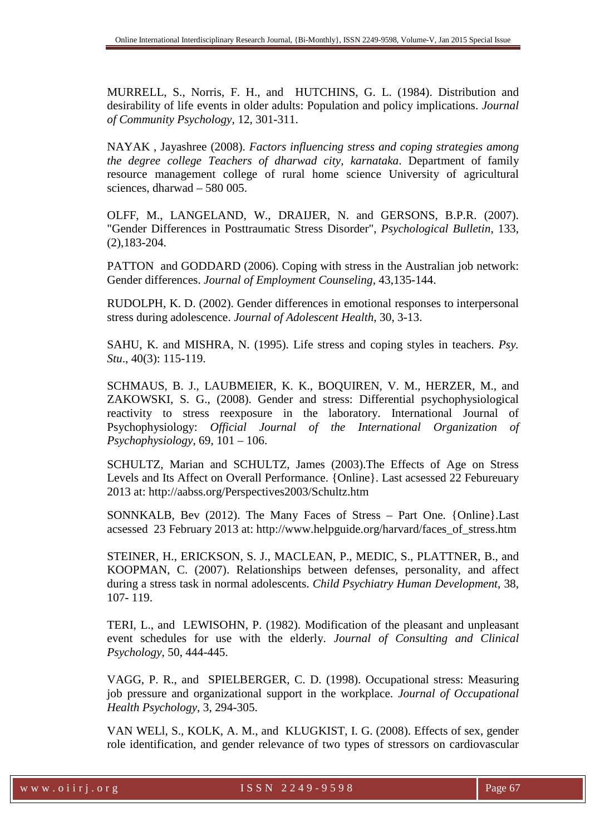MURRELL, S., Norris, F. H., and HUTCHINS, G. L. (1984). Distribution and desirability of life events in older adults: Population and policy implications. *Journal of Community Psychology,* 12, 301-311.

NAYAK , Jayashree (2008). *Factors influencing stress and coping strategies among the degree college Teachers of dharwad city, karnataka*. Department of family resource management college of rural home science University of agricultural sciences, dharwad – 580 005.

OLFF, M., LANGELAND, W., DRAIJER, N. and GERSONS, B.P.R. (2007). "Gender Differences in Posttraumatic Stress Disorder", *Psychological Bulletin*, 133, (2),183-204.

PATTON and GODDARD (2006). Coping with stress in the Australian job network: Gender differences. *Journal of Employment Counseling,* 43,135-144.

RUDOLPH, K. D. (2002). Gender differences in emotional responses to interpersonal stress during adolescence. *Journal of Adolescent Health*, 30, 3-13.

SAHU, K. and MISHRA, N. (1995). Life stress and coping styles in teachers. *Psy. Stu*., 40(3): 115-119.

SCHMAUS, B. J., LAUBMEIER, K. K., BOQUIREN, V. M., HERZER, M., and ZAKOWSKI, S. G., (2008). Gender and stress: Differential psychophysiological reactivity to stress reexposure in the laboratory. International Journal of Psychophysiology: *Official Journal of the International Organization of Psychophysiology,* 69, 101 – 106.

SCHULTZ, Marian and SCHULTZ, James (2003).The Effects of Age on Stress Levels and Its Affect on Overall Performance. {Online}. Last acsessed 22 Febureuary 2013 at: http://aabss.org/Perspectives2003/Schultz.htm

SONNKALB, Bev (2012). The Many Faces of Stress – Part One. {Online}.Last acsessed 23 February 2013 at: http://www.helpguide.org/harvard/faces\_of\_stress.htm

STEINER, H., ERICKSON, S. J., MACLEAN, P., MEDIC, S., PLATTNER, B., and KOOPMAN, C. (2007). Relationships between defenses, personality, and affect during a stress task in normal adolescents. *Child Psychiatry Human Development*, 38, 107- 119.

TERI, L., and LEWISOHN, P. (1982). Modification of the pleasant and unpleasant event schedules for use with the elderly. *Journal of Consulting and Clinical Psychology*, 50, 444-445.

VAGG, P. R., and SPIELBERGER, C. D. (1998). Occupational stress: Measuring job pressure and organizational support in the workplace. *Journal of Occupational Health Psychology*, 3, 294-305.

VAN WELl, S., KOLK, A. M., and KLUGKIST, I. G. (2008). Effects of sex, gender role identification, and gender relevance of two types of stressors on cardiovascular